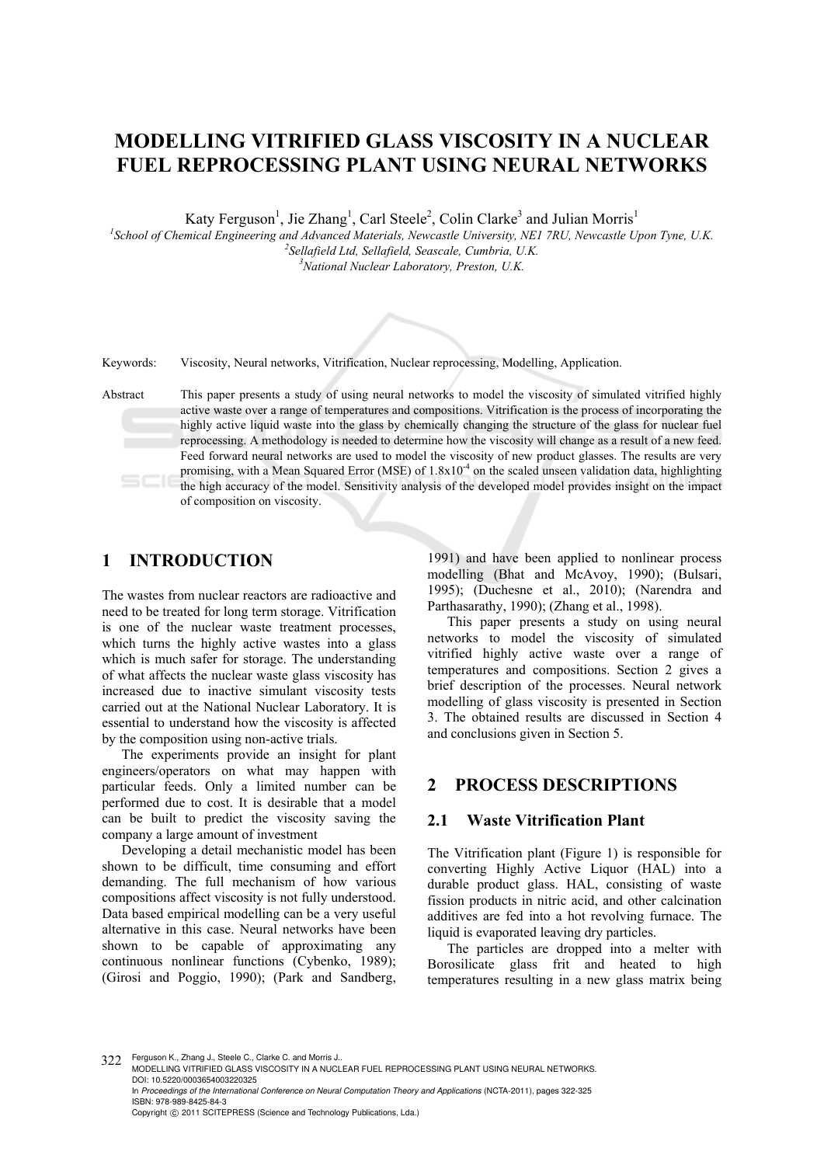# **MODELLING VITRIFIED GLASS VISCOSITY IN A NUCLEAR FUEL REPROCESSING PLANT USING NEURAL NETWORKS**

Katy Ferguson<sup>1</sup>, Jie Zhang<sup>1</sup>, Carl Steele<sup>2</sup>, Colin Clarke<sup>3</sup> and Julian Morris<sup>1</sup>

<sup>1</sup> School of Chemical Engineering and Advanced Materials, Newcastle University, NE1 7RU, Newcastle Upon Tyne, U.K. <sup>2</sup> Sollafield I td. Sollafield, Soggagle, Cumbrig, U.K. <sup>2</sup> Sellafield Ltd, Sellafield, Seascale, Cumbria, U.K. *National Nuclear Laboratory, Preston, U.K.* 



Keywords: Viscosity, Neural networks, Vitrification, Nuclear reprocessing, Modelling, Application.

Abstract This paper presents a study of using neural networks to model the viscosity of simulated vitrified highly active waste over a range of temperatures and compositions. Vitrification is the process of incorporating the highly active liquid waste into the glass by chemically changing the structure of the glass for nuclear fuel reprocessing. A methodology is needed to determine how the viscosity will change as a result of a new feed. Feed forward neural networks are used to model the viscosity of new product glasses. The results are very promising, with a Mean Squared Error (MSE) of  $1.8x10^{-4}$  on the scaled unseen validation data, highlighting the high accuracy of the model. Sensitivity analysis of the developed model provides insight on the impact of composition on viscosity.

## **1 INTRODUCTION**

The wastes from nuclear reactors are radioactive and need to be treated for long term storage. Vitrification is one of the nuclear waste treatment processes, which turns the highly active wastes into a glass which is much safer for storage. The understanding of what affects the nuclear waste glass viscosity has increased due to inactive simulant viscosity tests carried out at the National Nuclear Laboratory. It is essential to understand how the viscosity is affected by the composition using non-active trials.

The experiments provide an insight for plant engineers/operators on what may happen with particular feeds. Only a limited number can be performed due to cost. It is desirable that a model can be built to predict the viscosity saving the company a large amount of investment

Developing a detail mechanistic model has been shown to be difficult, time consuming and effort demanding. The full mechanism of how various compositions affect viscosity is not fully understood. Data based empirical modelling can be a very useful alternative in this case. Neural networks have been shown to be capable of approximating any continuous nonlinear functions (Cybenko, 1989); (Girosi and Poggio, 1990); (Park and Sandberg,

1991) and have been applied to nonlinear process modelling (Bhat and McAvoy, 1990); (Bulsari, 1995); (Duchesne et al., 2010); (Narendra and Parthasarathy, 1990); (Zhang et al., 1998).

This paper presents a study on using neural networks to model the viscosity of simulated vitrified highly active waste over a range of temperatures and compositions. Section 2 gives a brief description of the processes. Neural network modelling of glass viscosity is presented in Section 3. The obtained results are discussed in Section 4 and conclusions given in Section 5.

## **2 PROCESS DESCRIPTIONS**

#### **2.1 Waste Vitrification Plant**

The Vitrification plant (Figure 1) is responsible for converting Highly Active Liquor (HAL) into a durable product glass. HAL, consisting of waste fission products in nitric acid, and other calcination additives are fed into a hot revolving furnace. The liquid is evaporated leaving dry particles.

The particles are dropped into a melter with Borosilicate glass frit and heated to high temperatures resulting in a new glass matrix being

- 322 Ferguson K., Zhang J., Steele C., Clarke C. and Morris J.. MODELLING VITRIFIED GLASS VISCOSITY IN A NUCLEAR FUEL REPROCESSING PLANT USING NEURAL NETWORKS. DOI: 10.5220/0003654003220325
	- In *Proceedings of the International Conference on Neural Computation Theory and Applications* (NCTA-2011), pages 322-325 ISBN: 978-989-8425-84-3 Copyright © 2011 SCITEPRESS (Science and Technology Publications, Lda.)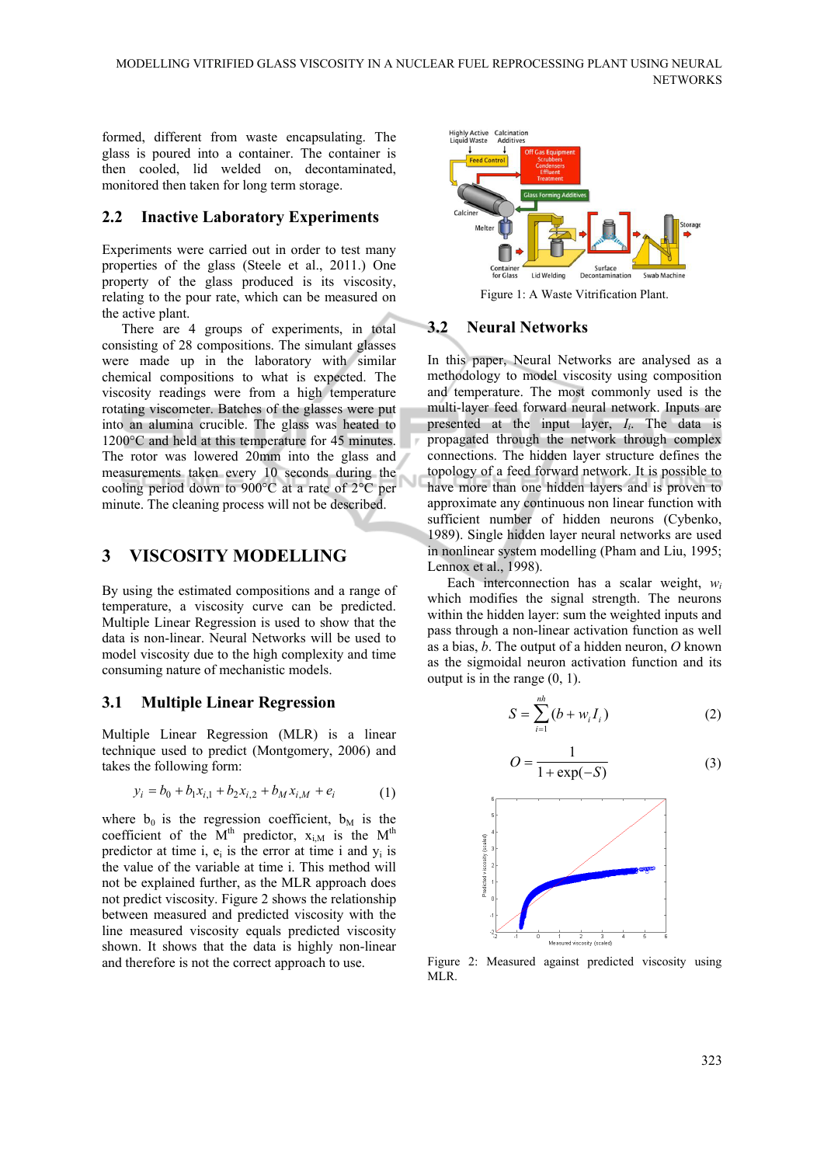formed, different from waste encapsulating. The glass is poured into a container. The container is then cooled, lid welded on, decontaminated, monitored then taken for long term storage.

#### **2.2 Inactive Laboratory Experiments**

Experiments were carried out in order to test many properties of the glass (Steele et al., 2011.) One property of the glass produced is its viscosity, relating to the pour rate, which can be measured on the active plant.

There are 4 groups of experiments, in total consisting of 28 compositions. The simulant glasses were made up in the laboratory with similar chemical compositions to what is expected. The viscosity readings were from a high temperature rotating viscometer. Batches of the glasses were put into an alumina crucible. The glass was heated to 1200°C and held at this temperature for 45 minutes. The rotor was lowered 20mm into the glass and measurements taken every 10 seconds during the cooling period down to 900°C at a rate of 2°C per minute. The cleaning process will not be described.

## **3 VISCOSITY MODELLING**

By using the estimated compositions and a range of temperature, a viscosity curve can be predicted. Multiple Linear Regression is used to show that the data is non-linear. Neural Networks will be used to model viscosity due to the high complexity and time consuming nature of mechanistic models.

#### **3.1 Multiple Linear Regression**

Multiple Linear Regression (MLR) is a linear technique used to predict (Montgomery, 2006) and takes the following form:

$$
y_i = b_0 + b_1 x_{i,1} + b_2 x_{i,2} + b_M x_{i,M} + e_i \tag{1}
$$

where  $b_0$  is the regression coefficient,  $b_M$  is the coefficient of the  $M<sup>th</sup>$  predictor,  $x_{i,M}$  is the  $M<sup>th</sup>$ predictor at time i,  $e_i$  is the error at time i and  $y_i$  is the value of the variable at time i. This method will not be explained further, as the MLR approach does not predict viscosity. Figure 2 shows the relationship between measured and predicted viscosity with the line measured viscosity equals predicted viscosity shown. It shows that the data is highly non-linear and therefore is not the correct approach to use.



Figure 1: A Waste Vitrification Plant.

### **3.2 Neural Networks**

In this paper, Neural Networks are analysed as a methodology to model viscosity using composition and temperature. The most commonly used is the multi-layer feed forward neural network. Inputs are presented at the input layer, *Ii*. The data is propagated through the network through complex connections. The hidden layer structure defines the topology of a feed forward network. It is possible to have more than one hidden layers and is proven to approximate any continuous non linear function with sufficient number of hidden neurons (Cybenko, 1989). Single hidden layer neural networks are used in nonlinear system modelling (Pham and Liu, 1995; Lennox et al., 1998).

Each interconnection has a scalar weight, *wi* which modifies the signal strength. The neurons within the hidden layer: sum the weighted inputs and pass through a non-linear activation function as well as a bias, *b*. The output of a hidden neuron, *O* known as the sigmoidal neuron activation function and its output is in the range  $(0, 1)$ .

$$
S = \sum_{i=1}^{nh} (b + w_i I_i)
$$
 (2)

$$
O = \frac{1}{1 + \exp(-S)}
$$
(3)



Figure 2: Measured against predicted viscosity using MLR.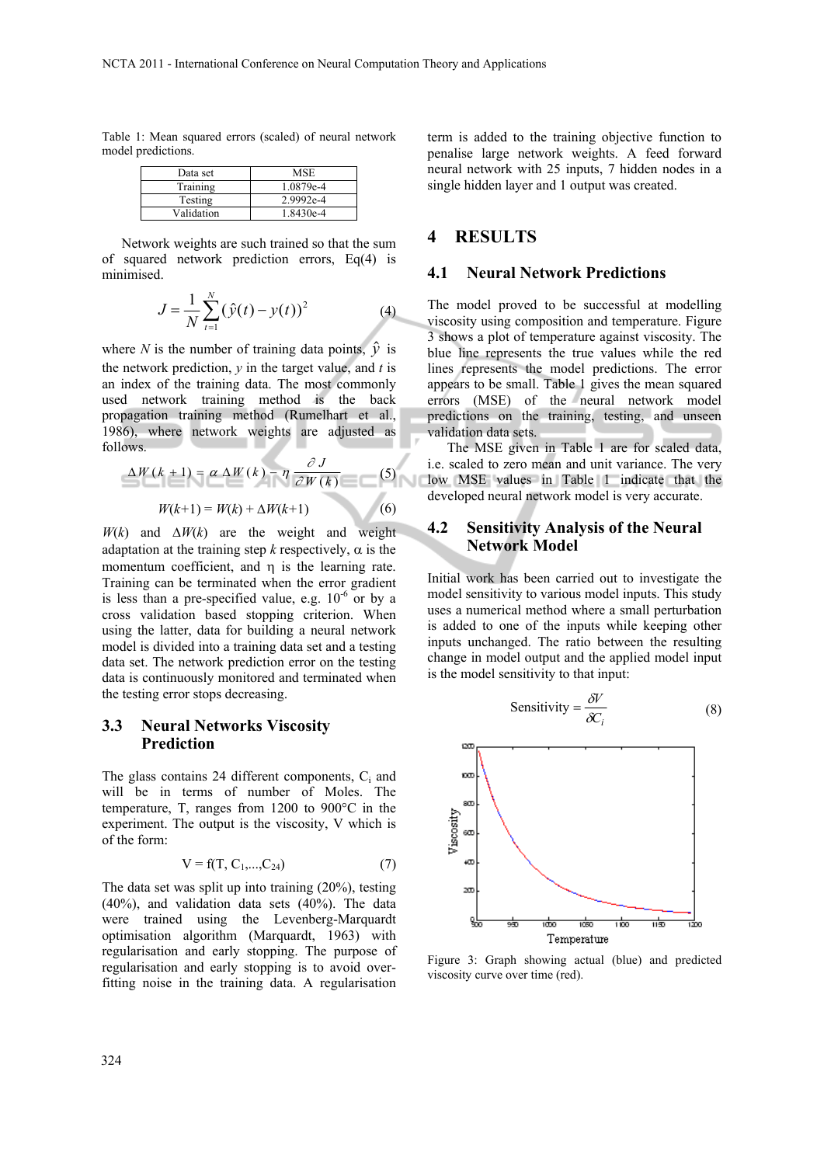Table 1: Mean squared errors (scaled) of neural network model predictions.

| Data set   | MSE       |
|------------|-----------|
| Training   | 1.0879e-4 |
| Testing    | 2.9992e-4 |
| Validation | 1.8430e-4 |

Network weights are such trained so that the sum of squared network prediction errors, Eq(4) is minimised.

$$
J = \frac{1}{N} \sum_{t=1}^{N} (\hat{y}(t) - y(t))^2
$$
 (4)

where *N* is the number of training data points,  $\hat{v}$  is the network prediction, *y* in the target value, and *t* is an index of the training data. The most commonly used network training method is the back propagation training method (Rumelhart et al., 1986), where network weights are adjusted as follows.

$$
\Delta W(k+1) = \alpha \Delta W(k) - \eta \frac{\partial J}{\partial W(k)} \tag{5}
$$

$$
W(k+1) = W(k) + \Delta W(k+1) \tag{6}
$$

 $W(k)$  and  $\Delta W(k)$  are the weight and weight adaptation at the training step *k* respectively,  $\alpha$  is the momentum coefficient, and  $\eta$  is the learning rate. Training can be terminated when the error gradient is less than a pre-specified value, e.g.  $10^{-6}$  or by a cross validation based stopping criterion. When using the latter, data for building a neural network model is divided into a training data set and a testing data set. The network prediction error on the testing data is continuously monitored and terminated when the testing error stops decreasing.

#### **3.3 Neural Networks Viscosity Prediction**

The glass contains 24 different components,  $C_i$  and will be in terms of number of Moles. The temperature, T, ranges from 1200 to 900°C in the experiment. The output is the viscosity, V which is of the form:

$$
V = f(T, C_1, ..., C_{24})
$$
 (7)

The data set was split up into training (20%), testing (40%), and validation data sets (40%). The data were trained using the Levenberg-Marquardt optimisation algorithm (Marquardt, 1963) with regularisation and early stopping. The purpose of regularisation and early stopping is to avoid overfitting noise in the training data. A regularisation term is added to the training objective function to penalise large network weights. A feed forward neural network with 25 inputs, 7 hidden nodes in a single hidden layer and 1 output was created.

### **4 RESULTS**

#### **4.1 Neural Network Predictions**

The model proved to be successful at modelling viscosity using composition and temperature. Figure 3 shows a plot of temperature against viscosity. The blue line represents the true values while the red lines represents the model predictions. The error appears to be small. Table 1 gives the mean squared errors (MSE) of the neural network model predictions on the training, testing, and unseen validation data sets.

The MSE given in Table 1 are for scaled data, i.e. scaled to zero mean and unit variance. The very low MSE values in Table 1 indicate that the developed neural network model is very accurate.

#### **4.2 Sensitivity Analysis of the Neural Network Model**

Initial work has been carried out to investigate the model sensitivity to various model inputs. This study uses a numerical method where a small perturbation is added to one of the inputs while keeping other inputs unchanged. The ratio between the resulting change in model output and the applied model input is the model sensitivity to that input:

Sensitivity = 
$$
\frac{\delta V}{\delta C_i}
$$
 (8)



Figure 3: Graph showing actual (blue) and predicted viscosity curve over time (red).